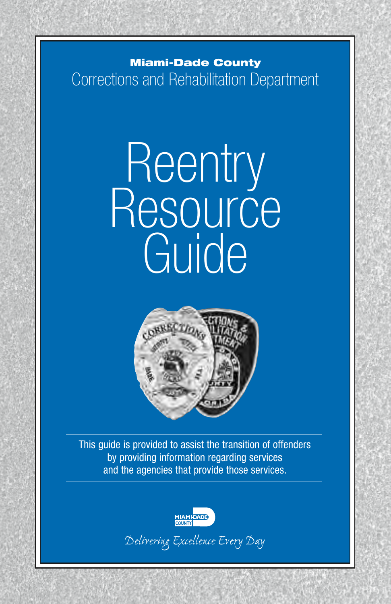## **Corrections and Rehabilitation and Rehabilitation in American Structure County** Department Corrections and Rehabilitation Department

Miami–Dade County

# Reentry Resource Guide



This guide is provided to assist the transition of offenders by providing information regarding services and the agencies that provide those services.



Delivering Excellence Every Day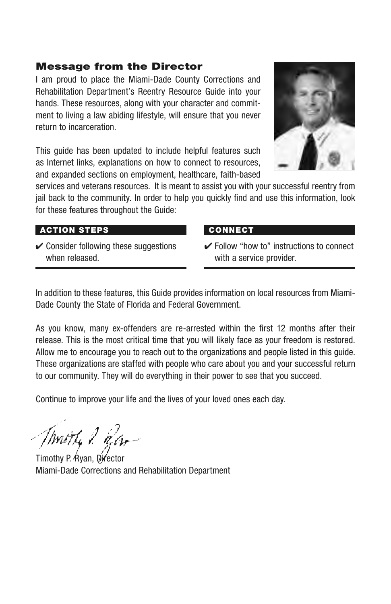#### Message from the Director

I am proud to place the Miami-Dade County Corrections and Rehabilitation Department's Reentry Resource Guide into your hands. These resources, along with your character and commitment to living a law abiding lifestyle, will ensure that you never return to incarceration.

This quide has been updated to include helpful features such as Internet links, explanations on how to connect to resources, and expanded sections on employment, healthcare, faith-based



services and veterans resources. It is meant to assist you with your successful reentry from jail back to the community. In order to help you quickly find and use this information, look for these features throughout the Guide:

#### Action Steps

 $\vee$  Consider following these suggestions when released.

#### **CONNECT**

 $\checkmark$  Follow "how to" instructions to connect with a service provider.

In addition to these features, this Guide provides information on local resources from Miami-Dade County the State of Florida and Federal Government.

As you know, many ex-offenders are re-arrested within the first 12 months after their release. This is the most critical time that you will likely face as your freedom is restored. Allow me to encourage you to reach out to the organizations and people listed in this guide. These organizations are staffed with people who care about you and your successful return to our community. They will do everything in their power to see that you succeed.

Continue to improve your life and the lives of your loved ones each day.

Thurthy & Ran

Timothy P. Ryan, Director Miami-Dade Corrections and Rehabilitation Department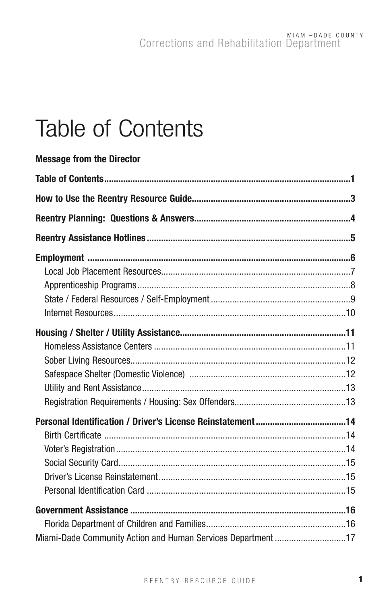## **Table of Contents**

| <b>Message from the Director</b>                             |  |
|--------------------------------------------------------------|--|
|                                                              |  |
|                                                              |  |
|                                                              |  |
|                                                              |  |
|                                                              |  |
|                                                              |  |
|                                                              |  |
|                                                              |  |
|                                                              |  |
|                                                              |  |
|                                                              |  |
|                                                              |  |
|                                                              |  |
|                                                              |  |
|                                                              |  |
|                                                              |  |
|                                                              |  |
|                                                              |  |
|                                                              |  |
|                                                              |  |
|                                                              |  |
|                                                              |  |
|                                                              |  |
| Miami-Dade Community Action and Human Services Department 17 |  |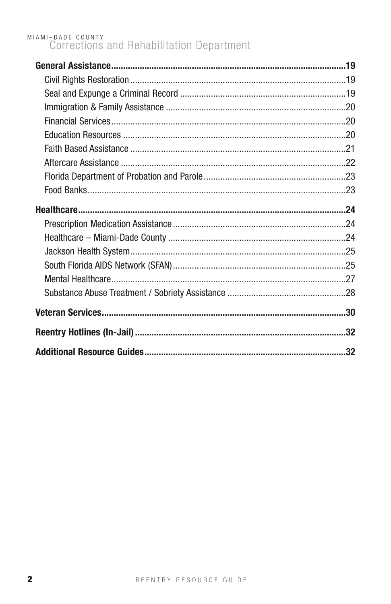## MIAMI-DADE COUNTY<br>Corrections and Rehabilitation Department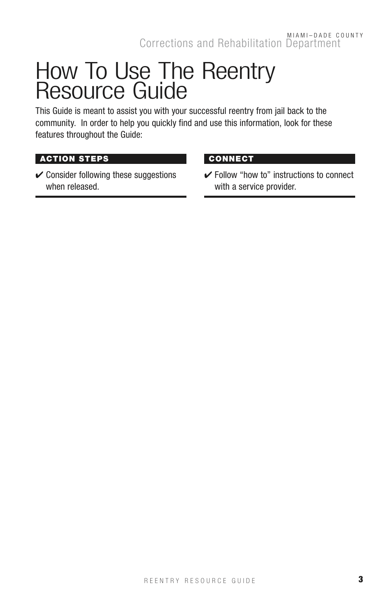## How To Use The Reentry Resource Guide

This Guide is meant to assist you with your successful reentry from jail back to the community. In order to help you quickly find and use this information, look for these features throughout the Guide:

#### **ACTION STEPS**

 $\checkmark$  Consider following these suggestions when released.

#### **CONNECT**

 $\checkmark$  Follow "how to" instructions to connect with a service provider.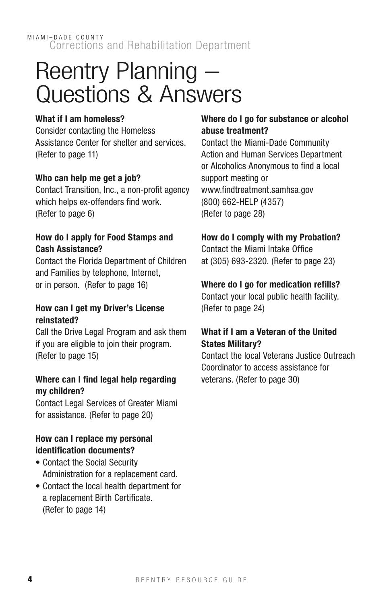## Reentry Planning – Questions & Answers

#### What if I am homeless?

Consider contacting the Homeless Assistance Center for shelter and services. (Refer to page 11)

#### Who can help me get a job?

Contact Transition, Inc., a non-profit agency which helps ex-offenders find work. (Refer to page 6)

#### How do I apply for Food Stamps and Cash Assistance?

Contact the Florida Department of Children and Families by telephone, Internet, or in person. (Refer to page 16)

#### How can I get my Driver's License reinstated?

Call the Drive Legal Program and ask them if you are eligible to join their program. (Refer to page 15)

#### Where can I find legal help regarding my children?

Contact Legal Services of Greater Miami for assistance. (Refer to page 20)

#### How can I replace my personal identification documents?

- Contact the Social Security Administration for a replacement card.
- Contact the local health department for a replacement Birth Certificate. (Refer to page 14)

#### Where do I go for substance or alcohol abuse treatment?

Contact the Miami-Dade Community Action and Human Services Department or Alcoholics Anonymous to find a local support meeting or www.findtreatment.samhsa.gov (800) 662-HELP (4357) (Refer to page 28)

#### How do I comply with my Probation?

Contact the Miami Intake Office at (305) 693-2320. (Refer to page 23)

#### Where do I go for medication refills?

Contact your local public health facility. (Refer to page 24)

#### What if I am a Veteran of the United States Military?

Contact the local Veterans Justice Outreach Coordinator to access assistance for veterans. (Refer to page 30)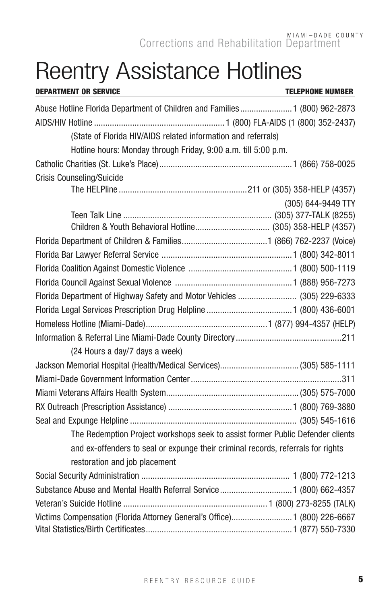## Reentry Assistance Hotlines

| <b>DEPARTMENT OR SERVICE</b>                                                     | <b>TELEPHONE NUMBER</b> |
|----------------------------------------------------------------------------------|-------------------------|
| Abuse Hotline Florida Department of Children and Families 1 (800) 962-2873       |                         |
|                                                                                  |                         |
| (State of Florida HIV/AIDS related information and referrals)                    |                         |
| Hotline hours: Monday through Friday, 9:00 a.m. till 5:00 p.m.                   |                         |
|                                                                                  |                         |
| <b>Crisis Counseling/Suicide</b>                                                 |                         |
|                                                                                  |                         |
|                                                                                  | (305) 644-9449 TTY      |
|                                                                                  |                         |
|                                                                                  |                         |
|                                                                                  |                         |
|                                                                                  |                         |
|                                                                                  |                         |
|                                                                                  |                         |
| Florida Department of Highway Safety and Motor Vehicles  (305) 229-6333          |                         |
|                                                                                  |                         |
|                                                                                  |                         |
|                                                                                  |                         |
| (24 Hours a day/7 days a week)                                                   |                         |
|                                                                                  |                         |
|                                                                                  |                         |
|                                                                                  |                         |
|                                                                                  |                         |
|                                                                                  |                         |
| The Redemption Project workshops seek to assist former Public Defender clients   |                         |
| and ex-offenders to seal or expunge their criminal records, referrals for rights |                         |
| restoration and job placement                                                    |                         |
|                                                                                  |                         |
|                                                                                  |                         |
|                                                                                  |                         |
| Victims Compensation (Florida Attorney General's Office) 1 (800) 226-6667        |                         |
|                                                                                  |                         |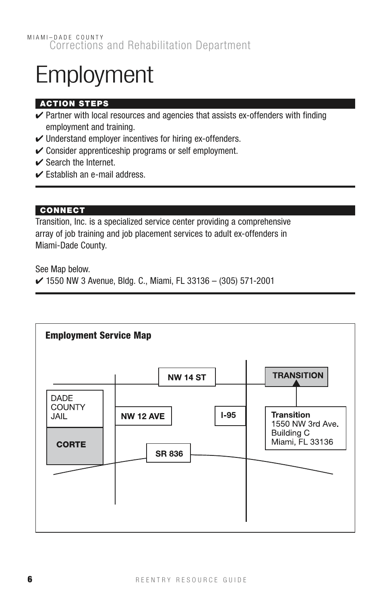## Employment

#### Action Steps

- $\checkmark$  Partner with local resources and agencies that assists ex-offenders with finding employment and training.
- $\checkmark$  Understand employer incentives for hiring ex-offenders.
- $\checkmark$  Consider apprenticeship programs or self employment.
- $\triangleright$  Search the Internet.
- $\checkmark$  Establish an e-mail address.

#### **CONNECT**

Transition, Inc. is a specialized service center providing a comprehensive array of job training and job placement services to adult ex-offenders in Miami-Dade County.

See Map below.

 $\vee$  1550 NW 3 Avenue, Bldg. C., Miami, FL 33136 - (305) 571-2001

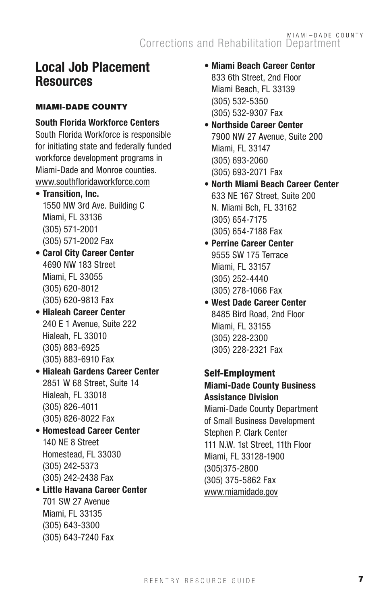### Local Job Placement **Resources**

#### **MIAMI-DADE COUNTY**

#### South Florida Workforce Centers South Florida Workforce is responsible

for initiating state and federally funded workforce development programs in Miami-Dade and Monroe counties. www.southfloridaworkforce.com

- Transition, Inc. 1550 NW 3rd Ave. Building C Miami, FL 33136 (305) 571-2001 (305) 571-2002 Fax
- Carol City Career Center 4690 NW 183 Street Miami, FL 33055 (305) 620-8012 (305) 620-9813 Fax
- Hialeah Career Center 240 E 1 Avenue, Suite 222 Hialeah, FL 33010 (305) 883-6925 (305) 883-6910 Fax
- Hialeah Gardens Career Center 2851 W 68 Street, Suite 14 Hialeah, FL 33018 (305) 826-4011 (305) 826-8022 Fax
- Homestead Career Center 140 NE 8 Street Homestead, FL 33030 (305) 242-5373 (305) 242-2438 Fax
- Little Havana Career Center 701 SW 27 Avenue Miami, FL 33135 (305) 643-3300 (305) 643-7240 Fax
- Miami Beach Career Center 833 6th Street, 2nd Floor Miami Beach, FL 33139 (305) 532-5350 (305) 532-9307 Fax
- Northside Career Center 7900 NW 27 Avenue, Suite 200 Miami, FL 33147 (305) 693-2060 (305) 693-2071 Fax
- North Miami Beach Career Center 633 NE 167 Street, Suite 200 N. Miami Bch, FL 33162 (305) 654-7175 (305) 654-7188 Fax
- Perrine Career Center 9555 SW 175 Terrace Miami, FL 33157 (305) 252-4440 (305) 278-1066 Fax
- West Dade Career Center 8485 Bird Road, 2nd Floor Miami, FL 33155 (305) 228-2300 (305) 228-2321 Fax

#### Self-Employment

#### Miami-Dade County Business Assistance Division

Miami-Dade County Department of Small Business Development Stephen P. Clark Center 111 N.W. 1st Street, 11th Floor Miami, FL 33128-1900 (305)375-2800 (305) 375-5862 Fax www.miamidade.gov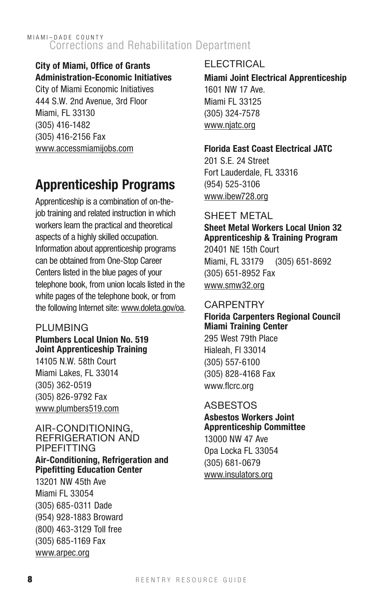#### City of Miami, Office of Grants Administration-Economic Initiatives

City of Miami Economic Initiatives 444 S.W. 2nd Avenue, 3rd Floor Miami, FL 33130 (305) 416-1482 (305) 416-2156 Fax www.accessmiamijobs.com

## Apprenticeship Programs

Apprenticeship is a combination of on-thejob training and related instruction in which workers learn the practical and theoretical aspects of a highly skilled occupation. Information about apprenticeship programs can be obtained from One-Stop Career Centers listed in the blue pages of your telephone book, from union locals listed in the white pages of the telephone book, or from the following Internet site: www.doleta.gov/oa.

#### **PLUMBING**

#### Plumbers Local Union No. 519 Joint Apprenticeship Training 14105 N.W. 58th Court Miami Lakes, FL 33014 (305) 362-0519 (305) 826-9792 Fax www.plumbers519.com

#### Air-Conditioning, Refrigeration and Pipefitting Air-Conditioning, Refrigeration and Pipefitting Education Center

13201 NW 45th Ave Miami FL 33054 (305) 685-0311 Dade (954) 928-1883 Broward (800) 463-3129 Toll free (305) 685-1169 Fax www.arpec.org

#### **ELECTRICAL**

Miami Joint Electrical Apprenticeship 1601 NW 17 Ave. Miami FL 33125 (305) 324-7578 www.njatc.org

#### Florida East Coast Electrical JATC

201 S.E. 24 Street Fort Lauderdale, FL 33316 (954) 525-3106 www.ibew728.org

#### Sheet Metal

#### Sheet Metal Workers Local Union 32 Apprenticeship & Training Program

20401 NE 15th Court Miami, FL 33179 (305) 651-8692 (305) 651-8952 Fax www.smw32.org

#### **CARPENTRY**

#### Florida Carpenters Regional Council Miami Training Center

295 West 79th Place Hialeah, Fl 33014 (305) 557-6100 (305) 828-4168 Fax www.flcrc.org

#### **ASBESTOS**

#### Asbestos Workers Joint Apprenticeship Committee

13000 NW 47 Ave Opa Locka FL 33054 (305) 681-0679 www.insulators.org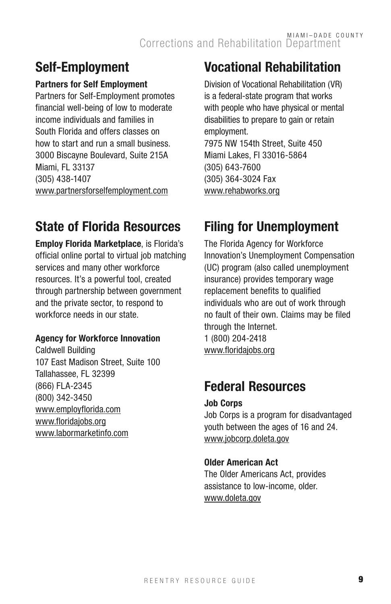## Self-Employment

#### Partners for Self Employment

Partners for Self-Employment promotes financial well-being of low to moderate income individuals and families in South Florida and offers classes on how to start and run a small business. 3000 Biscayne Boulevard, Suite 215A Miami, FL 33137 (305) 438-1407 www.partnersforselfemployment.com

## State of Florida Resources

Employ Florida Marketplace, is Florida's official online portal to virtual job matching services and many other workforce resources. It's a powerful tool, created through partnership between government and the private sector, to respond to workforce needs in our state.

#### Agency for Workforce Innovation

Caldwell Building 107 East Madison Street, Suite 100 Tallahassee, FL 32399 (866) FLA-2345 (800) 342-3450 www.employflorida.com www.floridajobs.org www.labormarketinfo.com

## Vocational Rehabilitation

Division of Vocational Rehabilitation (VR) is a federal-state program that works with people who have physical or mental disabilities to prepare to gain or retain employment. 7975 NW 154th Street, Suite 450 Miami Lakes, Fl 33016-5864 (305) 643-7600 (305) 364-3024 Fax www.rehabworks.org

## Filing for Unemployment

The Florida Agency for Workforce Innovation's Unemployment Compensation (UC) program (also called unemployment insurance) provides temporary wage replacement benefits to qualified individuals who are out of work through no fault of their own. Claims may be filed through the Internet. 1 (800) 204-2418 www.floridajobs.org

## Federal Resources

#### Job Corps

Job Corps is a program for disadvantaged youth between the ages of 16 and 24. www.jobcorp.doleta.gov

#### Older American Act

The Older Americans Act, provides assistance to low-income, older. www.doleta.gov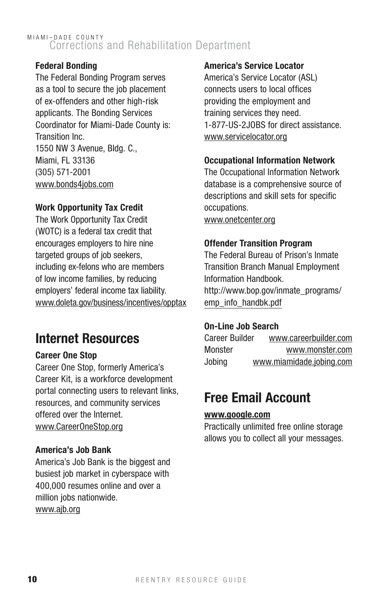#### Federal Bonding

The Federal Bonding Program serves as a tool to secure the job placement of ex-offenders and other high-risk applicants. The Bonding Services Coordinator for Miami-Dade County is: Transition Inc. 1550 NW 3 Avenue, Bldg. C., Miami, FL 33136 (305) 571-2001 www.bonds4jobs.com

#### Work Opportunity Tax Credit

The Work Opportunity Tax Credit (WOTC) is a federal tax credit that encourages employers to hire nine targeted groups of job seekers, including ex-felons who are members of low income families, by reducing employers' federal income tax liability. www.doleta.gov/business/incentives/opptax

### Internet Resources

#### Career One Stop

Career One Stop, formerly America's Career Kit, is a workforce development portal connecting users to relevant links, resources, and community services offered over the Internet. www.CareerOneStop.org

#### America's Job Bank

America's Job Bank is the biggest and busiest job market in cyberspace with 400,000 resumes online and over a million jobs nationwide. www.ajb.org

#### America's Service Locator

America's Service Locator (ASL) connects users to local offices providing the employment and training services they need. 1-877-US-2JOBS for direct assistance. www.servicelocator.org

#### Occupational Information Network

The Occupational Information Network database is a comprehensive source of descriptions and skill sets for specific occupations.

www.onetcenter.org

#### Offender Transition Program

The Federal Bureau of Prison's Inmate Transition Branch Manual Employment Information Handbook. http://www.bop.gov/inmate\_programs/ emp\_info\_handbk.pdf

#### On-Line Job Search

Career Builder www.careerbuilder.com Monster www.monster.com Jobing www.miamidade.jobing.com

### Free Email Account

#### www.google.com

Practically unlimited free online storage allows you to collect all your messages.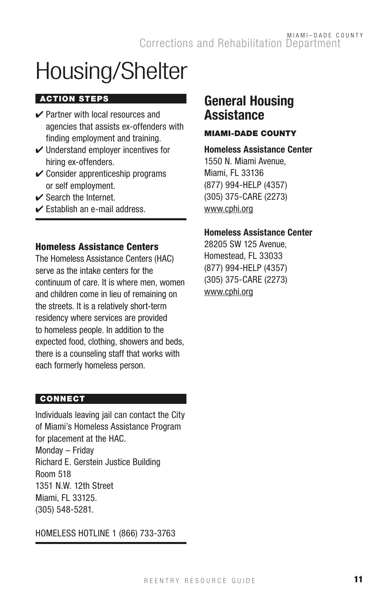## Housing/Shelter

#### **ACTION STEPS**

- $\vee$  Partner with local resources and agencies that assists ex-offenders with finding employment and training.
- $\checkmark$  Understand employer incentives for hiring ex-offenders.
- $\checkmark$  Consider apprenticeship programs or self employment.
- ✔ Search the Internet.
- $\triangleright$  Establish an e-mail address.

#### Homeless Assistance Centers

The Homeless Assistance Centers (HAC) serve as the intake centers for the continuum of care. It is where men, women and children come in lieu of remaining on the streets. It is a relatively short-term residency where services are provided to homeless people. In addition to the expected food, clothing, showers and beds, there is a counseling staff that works with each formerly homeless person.

#### **CONNECT**

Individuals leaving jail can contact the City of Miami's Homeless Assistance Program for placement at the HAC. Monday – Friday Richard E. Gerstein Justice Building Room 518 1351 N.W. 12th Street Miami, FL 33125. (305) 548-5281.

HOMELESS HOTLINE 1 (866) 733-3763

### General Housing **Assistance**

#### MIAMI-DADE COUNTY

#### Homeless Assistance Center

1550 N. Miami Avenue, Miami, FL 33136 (877) 994-HELP (4357) (305) 375-CARE (2273) www.cphi.org

#### Homeless Assistance Center

28205 SW 125 Avenue, Homestead, FL 33033 (877) 994-HELP (4357) (305) 375-CARE (2273) www.cphi.org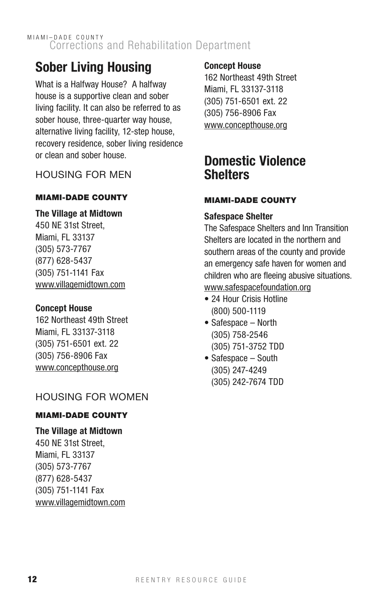## Sober Living Housing

What is a Halfway House? A halfway house is a supportive clean and sober living facility. It can also be referred to as sober house, three-quarter way house. alternative living facility, 12-step house, recovery residence, sober living residence or clean and sober house.

#### Housing for Men

#### **MIAMI-DADE COUNTY**

#### The Village at Midtown

450 NE 31st Street, Miami, FL 33137 (305) 573-7767 (877) 628-5437 (305) 751-1141 Fax www.villagemidtown.com

#### Concept House

162 Northeast 49th Street Miami, FL 33137-3118 (305) 751-6501 ext. 22 (305) 756-8906 Fax www.concepthouse.org

#### Housing for Women

#### **MIAMI-DADE COUNTY**

#### The Village at Midtown

450 NE 31st Street, Miami, FL 33137 (305) 573-7767 (877) 628-5437 (305) 751-1141 Fax www.villagemidtown.com

#### Concept House

162 Northeast 49th Street Miami, FL 33137-3118 (305) 751-6501 ext. 22 (305) 756-8906 Fax www.concepthouse.org

### Domestic Violence **Shelters**

#### **MIAMI-DADE COUNTY**

#### Safespace Shelter

The Safespace Shelters and Inn Transition Shelters are located in the northern and southern areas of the county and provide an emergency safe haven for women and children who are fleeing abusive situations. www.safespacefoundation.org

- 24 Hour Crisis Hotline (800) 500-1119
- Safespace North (305) 758-2546 (305) 751-3752 TDD
- Safespace South (305) 247-4249 (305) 242-7674 TDD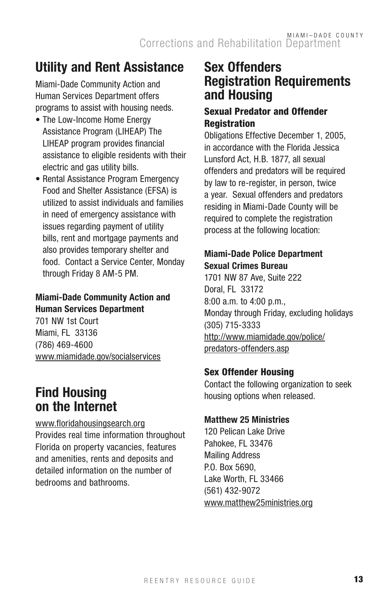## Utility and Rent Assistance

Miami-Dade Community Action and Human Services Department offers programs to assist with housing needs.

- The Low-Income Home Energy Assistance Program (LIHEAP) The LIHEAP program provides financial assistance to eligible residents with their electric and gas utility bills.
- Rental Assistance Program Emergency Food and Shelter Assistance (EFSA) is utilized to assist individuals and families in need of emergency assistance with issues regarding payment of utility bills, rent and mortgage payments and also provides temporary shelter and food. Contact a Service Center, Monday through Friday 8 AM-5 PM.

#### Miami-Dade Community Action and Human Services Department

701 NW 1st Court Miami, FL 33136 (786) 469-4600 www.miamidade.gov/socialservices

### Find Housing on the Internet

www.floridahousingsearch.org Provides real time information throughout Florida on property vacancies, features and amenities, rents and deposits and detailed information on the number of bedrooms and bathrooms.

## Sex Offenders Registration Requirements and Housing

#### Sexual Predator and Offender **Registration**

Obligations Effective December 1, 2005, in accordance with the Florida Jessica Lunsford Act, H.B. 1877, all sexual offenders and predators will be required by law to re-register, in person, twice a year. Sexual offenders and predators residing in Miami-Dade County will be required to complete the registration process at the following location:

#### Miami-Dade Police Department Sexual Crimes Bureau

1701 NW 87 Ave, Suite 222 Doral, FL 33172 8:00 a.m. to 4:00 p.m., Monday through Friday, excluding holidays (305) 715-3333 http://www.miamidade.gov/police/ predators-offenders.asp

#### Sex Offender Housing

Contact the following organization to seek housing options when released.

#### Matthew 25 Ministries

120 Pelican Lake Drive Pahokee, FL 33476 Mailing Address P.O. Box 5690, Lake Worth, FL 33466 (561) 432-9072 www.matthew25ministries.org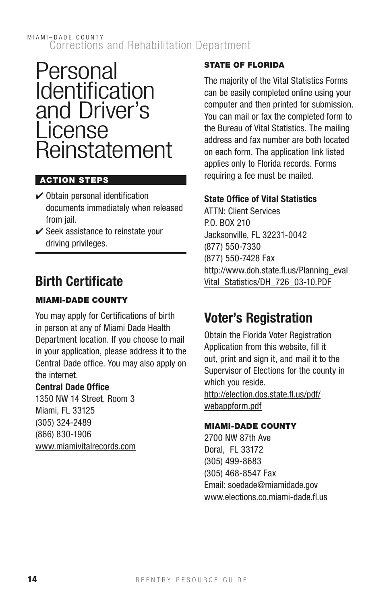## Personal n *Sigonia*<br>Ident<u>i</u>fication and Driver's License Reinstatement

#### **ACTION STEPS**

- $\checkmark$  Obtain personal identification documents immediately when released from *jail*.
- $\checkmark$  Seek assistance to reinstate your driving privileges.

## Birth Certificate

#### **MIAMI-DADE COUNTY**

You may apply for Certifications of birth in person at any of Miami Dade Health Department location. If you choose to mail in your application, please address it to the Central Dade office. You may also apply on the internet.

#### Central Dade Office

1350 NW 14 Street, Room 3 Miami, FL 33125 (305) 324-2489 (866) 830-1906 www.miamivitalrecords.com

#### **STATE OF FLORIDA**

The majority of the Vital Statistics Forms can be easily completed online using your computer and then printed for submission. You can mail or fax the completed form to the Bureau of Vital Statistics. The mailing address and fax number are both located on each form. The application link listed applies only to Florida records. Forms requiring a fee must be mailed.

#### State Office of Vital Statistics

ATTN: Client Services P.O. BOX 210 Jacksonville, FL 32231-0042 (877) 550-7330 (877) 550-7428 Fax http://www.doh.state.fl.us/Planning\_eval Vital\_Statistics/DH\_726\_03-10.PDF

## Voter's Registration

Obtain the Florida Voter Registration Application from this website, fill it out, print and sign it, and mail it to the Supervisor of Elections for the county in which you reside.

http://election.dos.state.fl.us/pdf/ webappform.pdf

#### **MIAMI-DADE COUNTY**

2700 NW 87th Ave Doral, FL 33172 (305) 499-8683 (305) 468-8547 Fax Email: soedade@miamidade.gov www.elections.co.miami-dade.fl.us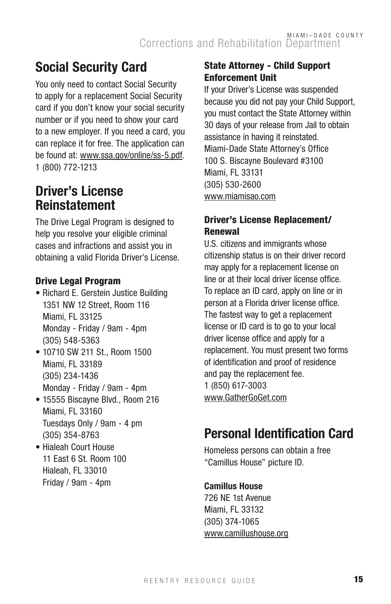## Social Security Card

You only need to contact Social Security to apply for a replacement Social Security card if you don't know your social security number or if you need to show your card to a new employer. If you need a card, you can replace it for free. The application can be found at: www.ssa.gov/online/ss-5.pdf. 1 (800) 772-1213

## Driver's License Reinstatement

The Drive Legal Program is designed to help you resolve your eligible criminal cases and infractions and assist you in obtaining a valid Florida Driver's License.

#### Drive Legal Program

- Richard E. Gerstein Justice Building 1351 NW 12 Street, Room 116 Miami, FL 33125 Monday - Friday / 9am - 4pm (305) 548-5363
- 10710 SW 211 St., Room 1500 Miami, FL 33189 (305) 234-1436 Monday - Friday / 9am - 4pm
- 15555 Biscayne Blvd., Room 216 Miami, FL 33160 Tuesdays Only / 9am - 4 pm (305) 354-8763
- Hialeah Court House 11 East 6 St. Room 100 Hialeah, FL 33010 Friday / 9am - 4pm

#### State Attorney - Child Support Enforcement Unit

If your Driver's License was suspended because you did not pay your Child Support, you must contact the State Attorney within 30 days of your release from Jail to obtain assistance in having it reinstated. Miami-Dade State Attorney's Office 100 S. Biscayne Boulevard #3100 Miami, FL 33131 (305) 530-2600 www.miamisao.com

#### Driver's License Replacement/ Renewal

U.S. citizens and immigrants whose citizenship status is on their driver record may apply for a replacement license on line or at their local driver license office. To replace an ID card, apply on line or in person at a Florida driver license office. The fastest way to get a replacement license or ID card is to go to your local driver license office and apply for a replacement. You must present two forms of identification and proof of residence and pay the replacement fee. 1 (850) 617-3003 www.GatherGoGet.com

## Personal Identification Card

Homeless persons can obtain a free "Camillus House" picture ID.

#### Camillus House

726 NE 1st Avenue Miami, FL 33132 (305) 374-1065 www.camillushouse.org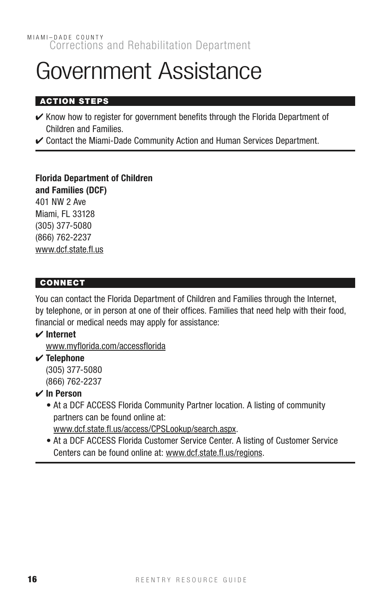## Government Assistance

#### Action Steps

- $\checkmark$  Know how to register for government benefits through the Florida Department of Children and Families.
- ✔ Contact the Miami-Dade Community Action and Human Services Department.

Florida Department of Children and Families (DCF) 401 NW 2 Ave Miami, FL 33128 (305) 377-5080 (866) 762-2237 www.dcf.state.fl.us

#### **CONNECT**

You can contact the Florida Department of Children and Families through the Internet, by telephone, or in person at one of their offices. Families that need help with their food, financial or medical needs may apply for assistance:

#### ✔ Internet

www.myflorida.com/accessflorida

 $\checkmark$  Telephone

(305) 377-5080 (866) 762-2237

#### $\vee$  In Person

- At a DCF ACCESS Florida Community Partner location. A listing of community partners can be found online at:
	- www.dcf.state.fl.us/access/CPSLookup/search.aspx.
- At a DCF ACCESS Florida Customer Service Center. A listing of Customer Service Centers can be found online at: www.dcf.state.fl.us/regions.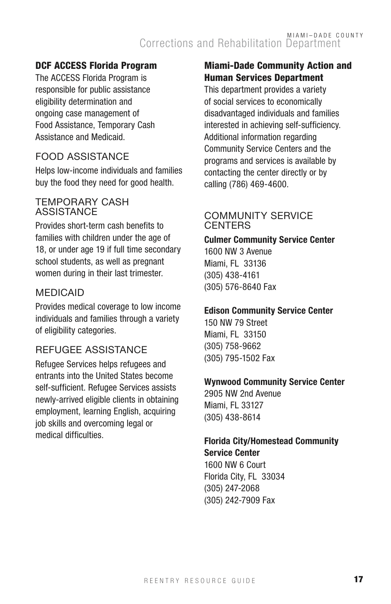#### DCF ACCESS Florida Program

The ACCESS Florida Program is responsible for public assistance eligibility determination and ongoing case management of Food Assistance, Temporary Cash Assistance and Medicaid.

#### Food Assistance

Helps low-income individuals and families buy the food they need for good health.

#### Temporary Cash **ASSISTANCE**

Provides short-term cash benefits to families with children under the age of 18, or under age 19 if full time secondary school students, as well as pregnant women during in their last trimester.

#### **MEDICAID**

Provides medical coverage to low income individuals and families through a variety of eligibility categories.

#### Refugee Assistance

Refugee Services helps refugees and entrants into the United States become self-sufficient. Refugee Services assists newly-arrived eligible clients in obtaining employment, learning English, acquiring job skills and overcoming legal or medical difficulties.

#### Miami-Dade Community Action and Human Services Department

This department provides a variety of social services to economically disadvantaged individuals and families interested in achieving self-sufficiency. Additional information regarding Community Service Centers and the programs and services is available by contacting the center directly or by calling (786) 469-4600.

#### Community Service **CENTERS**

#### Culmer Community Service Center 1600 NW 3 Avenue

Miami, FL 33136 (305) 438-4161 (305) 576-8640 Fax

#### Edison Community Service Center

150 NW 79 Street Miami, FL 33150 (305) 758-9662 (305) 795-1502 Fax

#### Wynwood Community Service Center

2905 NW 2nd Avenue Miami, FL 33127 (305) 438-8614

#### Florida City/Homestead Community Service Center

1600 NW 6 Court Florida City, FL 33034 (305) 247-2068 (305) 242-7909 Fax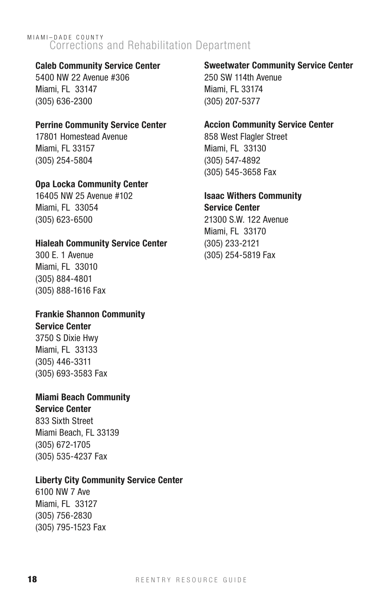#### Caleb Community Service Center

5400 NW 22 Avenue #306 Miami, FL 33147 (305) 636-2300

#### Perrine Community Service Center

17801 Homestead Avenue Miami, FL 33157 (305) 254-5804

#### Opa Locka Community Center

16405 NW 25 Avenue #102 Miami, FL 33054 (305) 623-6500

#### Hialeah Community Service Center

300 E. 1 Avenue Miami, FL 33010 (305) 884-4801 (305) 888-1616 Fax

#### Frankie Shannon Community Service Center

3750 S Dixie Hwy Miami, FL 33133 (305) 446-3311 (305) 693-3583 Fax

#### Miami Beach Community

Service Center

833 Sixth Street Miami Beach, FL 33139 (305) 672-1705 (305) 535-4237 Fax

#### Liberty City Community Service Center

6100 NW 7 Ave Miami, FL 33127 (305) 756-2830 (305) 795-1523 Fax

#### Sweetwater Community Service Center

250 SW 114th Avenue Miami, FL 33174 (305) 207-5377

#### Accion Community Service Center

858 West Flagler Street Miami, FL 33130 (305) 547-4892 (305) 545-3658 Fax

#### Isaac Withers Community

Service Center 21300 S.W. 122 Avenue Miami, FL 33170 (305) 233-2121 (305) 254-5819 Fax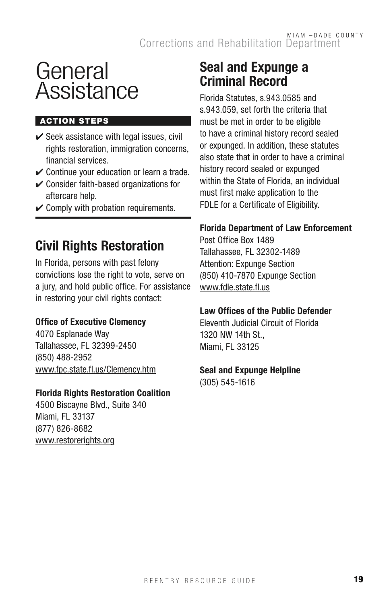## General Assistance

#### **ACTION STEPS**

- $\checkmark$  Seek assistance with legal issues, civil rights restoration, immigration concerns, financial services.
- $\checkmark$  Continue your education or learn a trade.
- $\vee$  Consider faith-based organizations for aftercare help.
- $\checkmark$  Comply with probation requirements.

## Civil Rights Restoration

In Florida, persons with past felony convictions lose the right to vote, serve on a jury, and hold public office. For assistance in restoring your civil rights contact:

#### Office of Executive Clemency

4070 Esplanade Way Tallahassee, FL 32399-2450 (850) 488-2952 www.fpc.state.fl.us/Clemency.htm

#### Florida Rights Restoration Coalition

4500 Biscayne Blvd., Suite 340 Miami, FL 33137 (877) 826-8682 www.restorerights.org

### Seal and Expunge a Criminal Record

Florida Statutes, s.943.0585 and s.943.059, set forth the criteria that must be met in order to be eligible to have a criminal history record sealed or expunged. In addition, these statutes also state that in order to have a criminal history record sealed or expunged within the State of Florida, an individual must first make application to the FDLE for a Certificate of Eligibility.

#### Florida Department of Law Enforcement

Post Office Box 1489 Tallahassee, FL 32302-1489 Attention: Expunge Section (850) 410-7870 Expunge Section www.fdle.state.fl.us

#### Law Offices of the Public Defender

Eleventh Judicial Circuit of Florida 1320 NW 14th St., Miami, FL 33125

#### Seal and Expunge Helpline

(305) 545-1616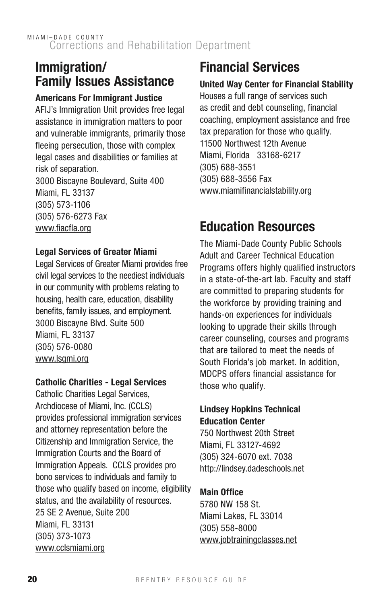### Immigration/ Family Issues Assistance

#### Americans For Immigrant Justice

AFIJ's Immigration Unit provides free legal assistance in immigration matters to poor and vulnerable immigrants, primarily those fleeing persecution, those with complex legal cases and disabilities or families at risk of separation. 3000 Biscayne Boulevard, Suite 400 Miami, FL 33137 (305) 573-1106 (305) 576-6273 Fax www.fiacfla.org

#### Legal Services of Greater Miami

Legal Services of Greater Miami provides free civil legal services to the neediest individuals in our community with problems relating to housing, health care, education, disability benefits, family issues, and employment. 3000 Biscayne Blvd. Suite 500 Miami, FL 33137 (305) 576-0080 www.lsgmi.org

#### Catholic Charities - Legal Services

Catholic Charities Legal Services, Archdiocese of Miami, Inc. (CCLS) provides professional immigration services and attorney representation before the Citizenship and Immigration Service, the Immigration Courts and the Board of Immigration Appeals. CCLS provides pro bono services to individuals and family to those who qualify based on income, eligibility status, and the availability of resources. 25 SE 2 Avenue, Suite 200 Miami, FL 33131 (305) 373-1073 www.cclsmiami.org

## Financial Services

#### United Way Center for Financial Stability

Houses a full range of services such as credit and debt counseling, financial coaching, employment assistance and free tax preparation for those who qualify. 11500 Northwest 12th Avenue Miami, Florida 33168-6217 (305) 688-3551 (305) 688-3556 Fax www.miamifinancialstability.org

## Education Resources

The Miami-Dade County Public Schools Adult and Career Technical Education Programs offers highly qualified instructors in a state-of-the-art lab. Faculty and staff are committed to preparing students for the workforce by providing training and hands-on experiences for individuals looking to upgrade their skills through career counseling, courses and programs that are tailored to meet the needs of South Florida's job market. In addition, MDCPS offers financial assistance for those who qualify.

#### Lindsey Hopkins Technical Education Center

750 Northwest 20th Street Miami, FL 33127-4692 (305) 324-6070 ext. 7038 http://lindsey.dadeschools.net

#### Main Office

5780 NW 158 St. Miami Lakes, FL 33014 (305) 558-8000 www.jobtrainingclasses.net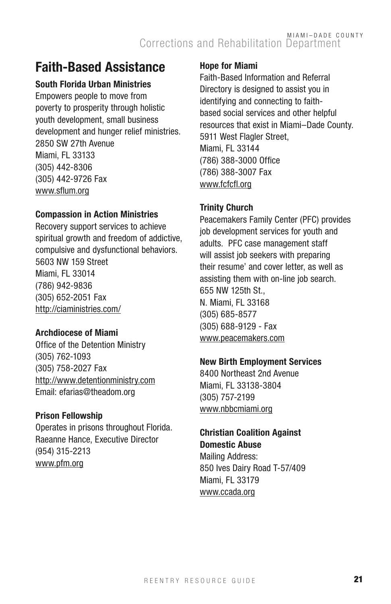## Faith-Based Assistance

#### South Florida Urban Ministries

Empowers people to move from poverty to prosperity through holistic youth development, small business development and hunger relief ministries. 2850 SW 27th Avenue Miami, FL 33133 (305) 442-8306 (305) 442-9726 Fax www.sflum.org

#### Compassion in Action Ministries

Recovery support services to achieve spiritual growth and freedom of addictive, compulsive and dysfunctional behaviors. 5603 NW 159 Street Miami, FL 33014 (786) 942-9836 (305) 652-2051 Fax http://ciaministries.com/

#### Archdiocese of Miami

Office of the Detention Ministry (305) 762-1093 (305) 758-2027 Fax http://www.detentionministry.com Email: efarias@theadom.org

#### Prison Fellowship

Operates in prisons throughout Florida. Raeanne Hance, Executive Director (954) 315-2213 www.pfm.org

#### Hope for Miami

Faith-Based Information and Referral Directory is designed to assist you in identifying and connecting to faithbased social services and other helpful resources that exist in Miami–Dade County. 5911 West Flagler Street, Miami, FL 33144 (786) 388-3000 Office (786) 388-3007 Fax www.fcfcfl.org

#### Trinity Church

Peacemakers Family Center (PFC) provides job development services for youth and adults. PFC case management staff will assist job seekers with preparing their resume' and cover letter, as well as assisting them with on-line job search. 655 NW 125th St., N. Miami, FL 33168 (305) 685-8577 (305) 688-9129 - Fax www.peacemakers.com

#### New Birth Employment Services

8400 Northeast 2nd Avenue Miami, FL 33138-3804 (305) 757-2199 www.nbbcmiami.org

#### Christian Coalition Against Domestic Abuse

Mailing Address: 850 Ives Dairy Road T-57/409 Miami, FL 33179 www.ccada.org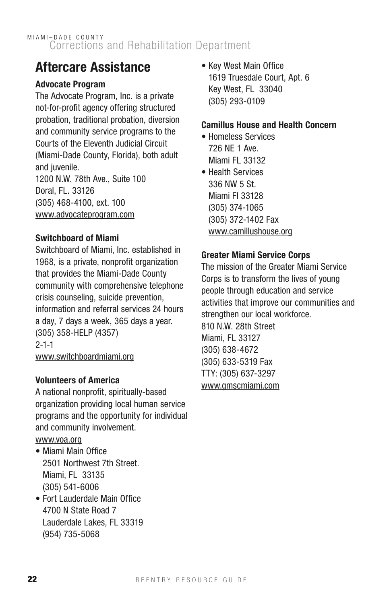## Aftercare Assistance

#### Advocate Program

The Advocate Program, Inc. is a private not-for-profit agency offering structured probation, traditional probation, diversion and community service programs to the Courts of the Eleventh Judicial Circuit (Miami-Dade County, Florida), both adult and iuvenile. 1200 N.W. 78th Ave., Suite 100 Doral, FL. 33126 (305) 468-4100, ext. 100 www.advocateprogram.com

#### Switchboard of Miami

Switchboard of Miami, Inc. established in 1968, is a private, nonprofit organization that provides the Miami-Dade County community with comprehensive telephone crisis counseling, suicide prevention, information and referral services 24 hours a day, 7 days a week, 365 days a year. (305) 358-HELP (4357) 2-1-1 www.switchboardmiami.org

#### Volunteers of America

A national nonprofit, spiritually-based organization providing local human service programs and the opportunity for individual and community involvement.

- www.voa.org
- Miami Main Office 2501 Northwest 7th Street. Miami, FL 33135 (305) 541-6006
- Fort Lauderdale Main Office 4700 N State Road 7 Lauderdale Lakes, FL 33319 (954) 735-5068

• Key West Main Office 1619 Truesdale Court, Apt. 6 Key West, FL 33040 (305) 293-0109

#### Camillus House and Health Concern

- Homeless Services 726 NE 1 Ave. Miami FL 33132
- Health Services 336 NW 5 St. Miami Fl 33128 (305) 374-1065 (305) 372-1402 Fax www.camillushouse.org

#### Greater Miami Service Corps

The mission of the Greater Miami Service Corps is to transform the lives of young people through education and service activities that improve our communities and strengthen our local workforce. 810 N.W. 28th Street Miami, FL 33127 (305) 638-4672 (305) 633-5319 Fax TTY: (305) 637-3297 www.gmscmiami.com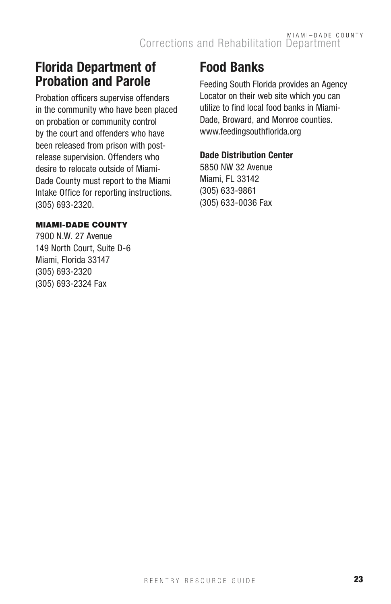### Florida Department of Probation and Parole

Probation officers supervise offenders in the community who have been placed on probation or community control by the court and offenders who have been released from prison with postrelease supervision. Offenders who desire to relocate outside of Miami-Dade County must report to the Miami Intake Office for reporting instructions. (305) 693-2320.

#### **MIAMI-DADE COUNTY**

7900 N.W. 27 Avenue 149 North Court, Suite D-6 Miami, Florida 33147 (305) 693-2320 (305) 693-2324 Fax

## Food Banks

Feeding South Florida provides an Agency Locator on their web site which you can utilize to find local food banks in Miami-Dade, Broward, and Monroe counties. www.feedingsouthflorida.org

#### Dade Distribution Center

5850 NW 32 Avenue Miami, FL 33142 (305) 633-9861 (305) 633-0036 Fax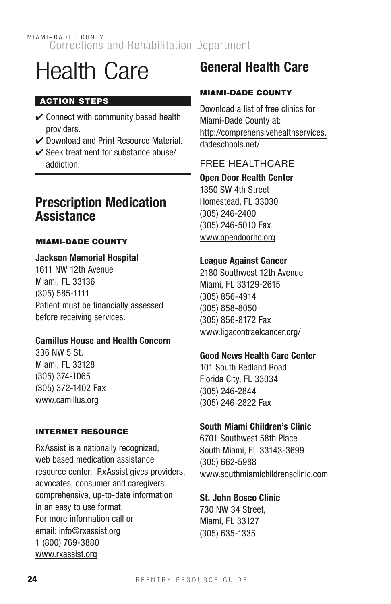## Health Care

#### **ACTION STEPS**

- $\vee$  Connect with community based health providers.
- ✔ Download and Print Resource Material.
- ✔ Seek treatment for substance abuse/ addiction.

### Prescription Medication **Assistance**

#### **MIAMI-DADE COUNTY**

#### Jackson Memorial Hospital

1611 NW 12th Avenue Miami, FL 33136 (305) 585-1111 Patient must be financially assessed before receiving services.

#### Camillus House and Health Concern

336 NW 5 St. Miami, FL 33128 (305) 374-1065 (305) 372-1402 Fax www.camillus.org

#### Internet Resource

RxAssist is a nationally recognized, web based medication assistance resource center. RxAssist gives providers, advocates, consumer and caregivers comprehensive, up-to-date information in an easy to use format. For more information call or email: info@rxassist.org 1 (800) 769-3880 www.rxassist.org

## General Health Care

#### **MIAMI-DADE COUNTY**

Download a list of free clinics for Miami-Dade County at: http://comprehensivehealthservices. dadeschools.net/

#### FREE HEALTHCARE

Open Door Health Center

1350 SW 4th Street Homestead, FL 33030 (305) 246-2400 (305) 246-5010 Fax www.opendoorhc.org

#### League Against Cancer

2180 Southwest 12th Avenue Miami, FL 33129-2615 (305) 856-4914 (305) 858-8050 (305) 856-8172 Fax www.ligacontraelcancer.org/

#### Good News Health Care Center

101 South Redland Road Florida City, FL 33034 (305) 246-2844 (305) 246-2822 Fax

#### South Miami Children's Clinic

6701 Southwest 58th Place South Miami, FL 33143-3699 (305) 662-5988 www.southmiamichildrensclinic.com

St. John Bosco Clinic

730 NW 34 Street, Miami, FL 33127 (305) 635-1335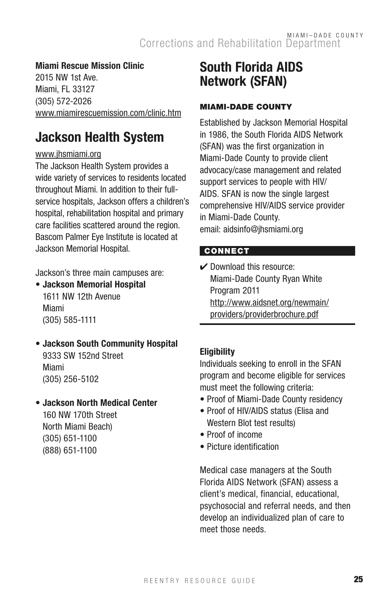#### Miami Rescue Mission Clinic

2015 NW 1st Ave. Miami, FL 33127 (305) 572-2026 www.miamirescuemission.com/clinic.htm

## Jackson Health System

#### www.jhsmiami.org

The Jackson Health System provides a wide variety of services to residents located throughout Miami. In addition to their fullservice hospitals, Jackson offers a children's hospital, rehabilitation hospital and primary care facilities scattered around the region. Bascom Palmer Eye Institute is located at Jackson Memorial Hospital.

Jackson's three main campuses are:

- Jackson Memorial Hospital 1611 NW 12th Avenue Miami (305) 585-1111
- Jackson South Community Hospital 9333 SW 152nd Street Miami (305) 256-5102

#### • Jackson North Medical Center 160 NW 170th Street

North Miami Beach) (305) 651-1100 (888) 651-1100

## South Florida AIDS Network (SFAN)

#### **MIAMI-DADE COUNTY**

Established by Jackson Memorial Hospital in 1986, the South Florida AIDS Network (SFAN) was the first organization in Miami-Dade County to provide client advocacy/case management and related support services to people with HIV/ AIDS. SFAN is now the single largest comprehensive HIV/AIDS service provider in Miami-Dade County. email: aidsinfo@jhsmiami.org

#### **CONNECT**

 $\checkmark$  Download this resource: Miami-Dade County Ryan White Program 2011 http://www.aidsnet.org/newmain/ providers/providerbrochure.pdf

#### **Eligibility**

Individuals seeking to enroll in the SFAN program and become eligible for services must meet the following criteria:

- Proof of Miami-Dade County residency
- Proof of HIV/AIDS status (Elisa and Western Blot test results)
- Proof of income
- Picture identification

Medical case managers at the South Florida AIDS Network (SFAN) assess a client's medical, financial, educational, psychosocial and referral needs, and then develop an individualized plan of care to meet those needs.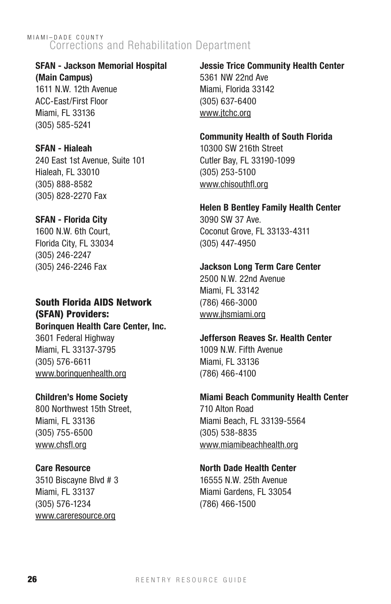#### SFAN - Jackson Memorial Hospital

(Main Campus) 1611 N.W. 12th Avenue ACC-East/First Floor Miami, FL 33136 (305) 585-5241

#### SFAN - Hialeah

240 East 1st Avenue, Suite 101 Hialeah, FL 33010 (305) 888-8582 (305) 828-2270 Fax

#### SFAN - Florida City

1600 N.W. 6th Court, Florida City, FL 33034 (305) 246-2247 (305) 246-2246 Fax

#### South Florida AIDS Network (SFAN) Providers: Borinquen Health Care Center, Inc.

3601 Federal Highway Miami, FL 33137-3795 (305) 576-6611 www.borinquenhealth.org

#### Children's Home Society

800 Northwest 15th Street, Miami, FL 33136 (305) 755-6500 www.chsfl.org

#### Care Resource

3510 Biscayne Blvd # 3 Miami, FL 33137 (305) 576-1234 www.careresource.org

Jessie Trice Community Health Center 5361 NW 22nd Ave Miami, Florida 33142 (305) 637-6400 www.jtchc.org

#### Community Health of South Florida

10300 SW 216th Street Cutler Bay, FL 33190-1099 (305) 253-5100 www.chisouthfl.org

#### Helen B Bentley Family Health Center

3090 SW 37 Ave. Coconut Grove, FL 33133-4311 (305) 447-4950

#### Jackson Long Term Care Center

2500 N.W. 22nd Avenue Miami, FL 33142 (786) 466-3000 www.jhsmiami.org

#### Jefferson Reaves Sr. Health Center 1009 N.W. Fifth Avenue

Miami, FL 33136 (786) 466-4100

#### Miami Beach Community Health Center

710 Alton Road Miami Beach, FL 33139-5564 (305) 538-8835 www.miamibeachhealth.org

#### North Dade Health Center

16555 N.W. 25th Avenue Miami Gardens, FL 33054 (786) 466-1500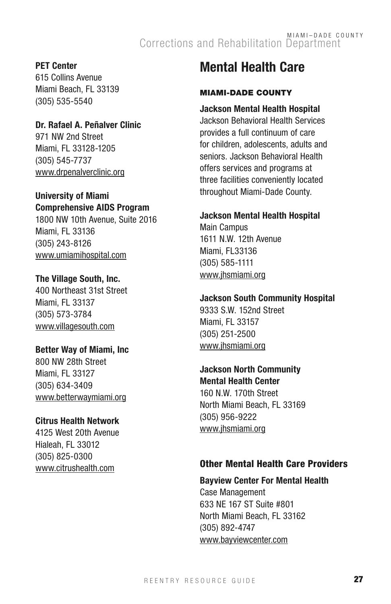#### PET Center

615 Collins Avenue Miami Beach, FL 33139 (305) 535-5540

#### Dr. Rafael A. Peñalver Clinic

971 NW 2nd Street Miami, FL 33128-1205 (305) 545-7737 www.drpenalverclinic.org

#### University of Miami Comprehensive AIDS Program

1800 NW 10th Avenue, Suite 2016 Miami, FL 33136 (305) 243-8126 www.umiamihospital.com

#### The Village South, Inc.

400 Northeast 31st Street Miami, FL 33137 (305) 573-3784 www.villagesouth.com

#### Better Way of Miami, Inc

800 NW 28th Street Miami, FL 33127 (305) 634-3409 www.betterwaymiami.org

#### Citrus Health Network

4125 West 20th Avenue Hialeah, FL 33012 (305) 825-0300 www.citrushealth.com

## Mental Health Care

#### **MIAMI-DADE COUNTY**

#### Jackson Mental Health Hospital

Jackson Behavioral Health Services provides a full continuum of care for children, adolescents, adults and seniors. Jackson Behavioral Health offers services and programs at three facilities conveniently located throughout Miami-Dade County.

#### Jackson Mental Health Hospital

Main Campus 1611 N.W. 12th Avenue Miami, FL33136 (305) 585-1111 www.jhsmiami.org

#### Jackson South Community Hospital

9333 S.W. 152nd Street Miami, FL 33157 (305) 251-2500 www.jhsmiami.org

#### Jackson North Community Mental Health Center

160 N.W. 170th Street North Miami Beach, FL 33169 (305) 956-9222 www.jhsmiami.org

#### Other Mental Health Care Providers

#### Bayview Center For Mental Health

Case Management 633 NE 167 ST Suite #801 North Miami Beach, FL 33162 (305) 892-4747 www.bayviewcenter.com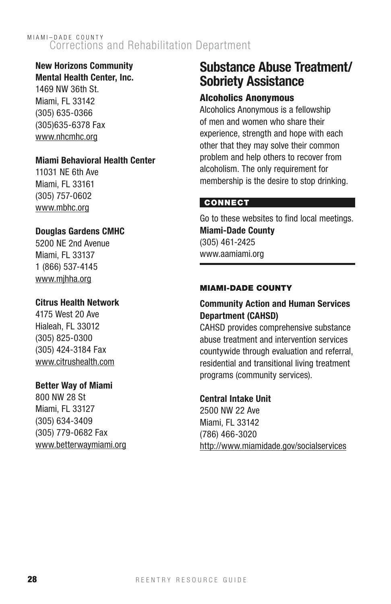## New Horizons Community

Mental Health Center, Inc. 1469 NW 36th St. Miami, FL 33142 (305) 635-0366 (305)635-6378 Fax www.nhcmhc.org

#### Miami Behavioral Health Center

11031 NE 6th Ave Miami, FL 33161 (305) 757-0602 www.mbhc.org

#### Douglas Gardens CMHC

5200 NE 2nd Avenue Miami, FL 33137 1 (866) 537-4145 www.mjhha.org

#### Citrus Health Network

4175 West 20 Ave Hialeah, FL 33012 (305) 825-0300 (305) 424-3184 Fax www.citrushealth.com

#### Better Way of Miami

800 NW 28 St Miami, FL 33127 (305) 634-3409 (305) 779-0682 Fax www.betterwaymiami.org

## Substance Abuse Treatment/ Sobriety Assistance

#### Alcoholics Anonymous

Alcoholics Anonymous is a fellowship of men and women who share their experience, strength and hope with each other that they may solve their common problem and help others to recover from alcoholism. The only requirement for membership is the desire to stop drinking.

#### **CONNECT**

Go to these websites to find local meetings. Miami-Dade County (305) 461-2425 www.aamiami.org

#### **MIAMI-DADE COUNTY**

#### Community Action and Human Services Department (CAHSD)

CAHSD provides comprehensive substance abuse treatment and intervention services countywide through evaluation and referral, residential and transitional living treatment programs (community services).

#### Central Intake Unit

2500 NW 22 Ave Miami, FL 33142 (786) 466-3020 http://www.miamidade.gov/socialservices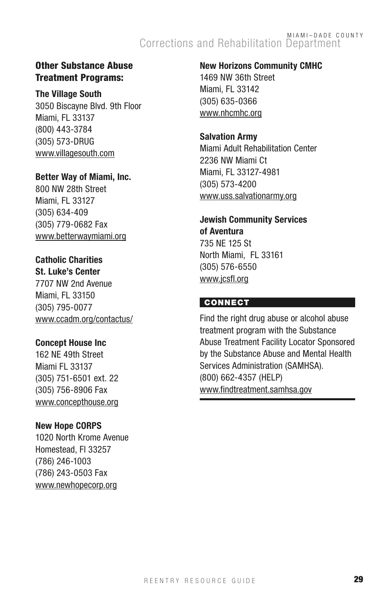#### Other Substance Abuse Treatment Programs:

The Village South

3050 Biscayne Blvd. 9th Floor Miami, FL 33137 (800) 443-3784 (305) 573-DRUG www.villagesouth.com

Better Way of Miami, Inc.

800 NW 28th Street Miami, FL 33127 (305) 634-409 (305) 779-0682 Fax www.betterwaymiami.org

### Catholic Charities

St. Luke's Center 7707 NW 2nd Avenue Miami, FL 33150 (305) 795-0077 www.ccadm.org/contactus/

#### Concept House Inc

162 NE 49th Street Miami FL 33137 (305) 751-6501 ext. 22 (305) 756-8906 Fax www.concepthouse.org

#### New Hope CORPS

1020 North Krome Avenue Homestead, Fl 33257 (786) 246-1003 (786) 243-0503 Fax www.newhopecorp.org

New Horizons Community CMHC 1469 NW 36th Street

Miami, FL 33142 (305) 635-0366 www.nhcmhc.org

#### Salvation Army

Miami Adult Rehabilitation Center 2236 NW Miami Ct Miami, FL 33127-4981 (305) 573-4200 www.uss.salvationarmy.org

#### Jewish Community Services of Aventura 735 NE 125 St

North Miami, FL 33161 (305) 576-6550 www.jcsfl.org

#### **CONNECT**

Find the right drug abuse or alcohol abuse treatment program with the Substance Abuse Treatment Facility Locator Sponsored by the Substance Abuse and Mental Health Services Administration (SAMHSA). (800) 662-4357 (HELP) www.findtreatment.samhsa.gov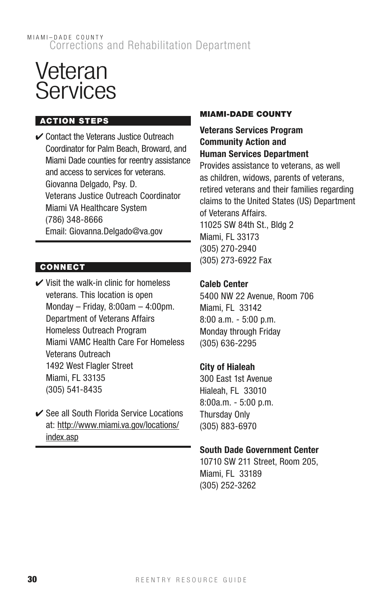## Veteran **Services**

#### Action Steps

 $\checkmark$  Contact the Veterans Justice Outreach Coordinator for Palm Beach, Broward, and Miami Dade counties for reentry assistance and access to services for veterans. Giovanna Delgado, Psy. D. Veterans Justice Outreach Coordinator Miami VA Healthcare System (786) 348-8666 Email: Giovanna.Delgado@va.gov

#### **CONNECT**

- $\vee$  Visit the walk-in clinic for homeless veterans. This location is open Monday – Friday,  $8:00$ am –  $4:00$ pm. Department of Veterans Affairs Homeless Outreach Program Miami VAMC Health Care For Homeless Veterans Outreach 1492 West Flagler Street Miami, FL 33135 (305) 541-8435
- **►** See all South Florida Service Locations at: http://www.miami.va.gov/locations/ index.asp

#### **MIAMI-DADE COUNTY**

#### Veterans Services Program Community Action and Human Services Department

Provides assistance to veterans, as well as children, widows, parents of veterans, retired veterans and their families regarding claims to the United States (US) Department of Veterans Affairs. 11025 SW 84th St., Bldg 2 Miami, FL 33173 (305) 270-2940 (305) 273-6922 Fax

#### Caleb Center

5400 NW 22 Avenue, Room 706 Miami, FL 33142 8:00 a.m. - 5:00 p.m. Monday through Friday (305) 636-2295

#### City of Hialeah

300 East 1st Avenue Hialeah, FL 33010 8:00a.m. - 5:00 p.m. Thursday Only (305) 883-6970

#### South Dade Government Center

10710 SW 211 Street, Room 205, Miami, FL 33189 (305) 252-3262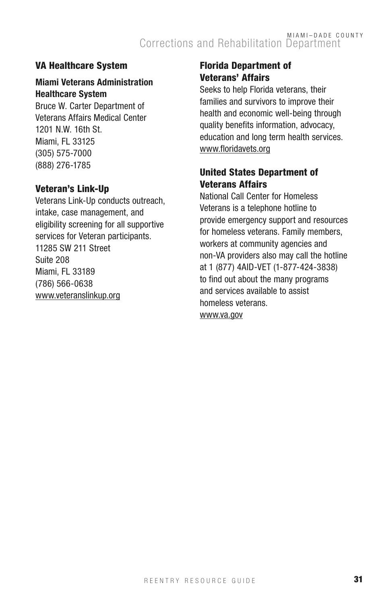#### VA Healthcare System

#### Miami Veterans Administration Healthcare System

Bruce W. Carter Department of Veterans Affairs Medical Center 1201 N.W. 16th St. Miami, FL 33125 (305) 575-7000 (888) 276-1785

#### Veteran's Link-Up

Veterans Link-Up conducts outreach, intake, case management, and eligibility screening for all supportive services for Veteran participants. 11285 SW 211 Street Suite 208 Miami, FL 33189 (786) 566-0638 www.veteranslinkup.org

#### Florida Department of Veterans' Affairs

Seeks to help Florida veterans, their families and survivors to improve their health and economic well-being through quality benefits information, advocacy, education and long term health services. www.floridavets.org

#### United States Department of Veterans Affairs

National Call Center for Homeless Veterans is a telephone hotline to provide emergency support and resources for homeless veterans. Family members, workers at community agencies and non-VA providers also may call the hotline at 1 (877) 4AID-VET (1-877-424-3838) to find out about the many programs and services available to assist homeless veterans. www.va.gov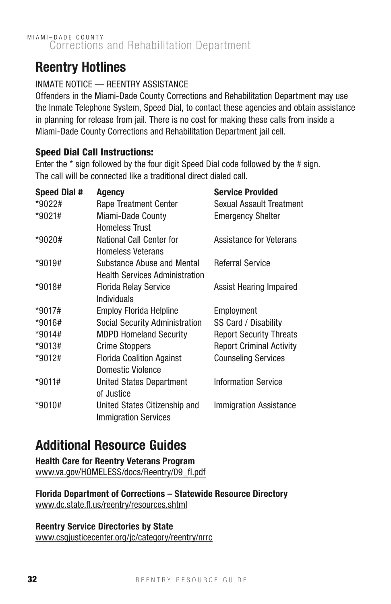## Reentry Hotlines

#### INMATE NOTICE — REENTRY ASSISTANCE

Offenders in the Miami-Dade County Corrections and Rehabilitation Department may use the Inmate Telephone System, Speed Dial, to contact these agencies and obtain assistance in planning for release from jail. There is no cost for making these calls from inside a Miami-Dade County Corrections and Rehabilitation Department jail cell.

#### Speed Dial Call Instructions:

Enter the \* sign followed by the four digit Speed Dial code followed by the # sign. The call will be connected like a traditional direct dialed call.

| <b>Speed Dial #</b> | Agency                                | <b>Service Provided</b>         |
|---------------------|---------------------------------------|---------------------------------|
| *9022#              | Rape Treatment Center                 | Sexual Assault Treatment        |
| *9021#              | Miami-Dade County                     | <b>Emergency Shelter</b>        |
|                     | <b>Homeless Trust</b>                 |                                 |
| *9020#              | National Call Center for              | Assistance for Veterans         |
|                     | <b>Homeless Veterans</b>              |                                 |
| $*9019#$            | Substance Abuse and Mental            | Referral Service                |
|                     | <b>Health Services Administration</b> |                                 |
| $*9018#$            | <b>Florida Relay Service</b>          | Assist Hearing Impaired         |
|                     | Individuals                           |                                 |
| $*9017#$            | <b>Employ Florida Helpline</b>        | Employment                      |
| $*9016#$            | Social Security Administration        | SS Card / Disability            |
| $*9014#$            | <b>MDPD Homeland Security</b>         | <b>Report Security Threats</b>  |
| $*9013#$            | <b>Crime Stoppers</b>                 | <b>Report Criminal Activity</b> |
| *9012#              | <b>Florida Coalition Against</b>      | <b>Counseling Services</b>      |
|                     | Domestic Violence                     |                                 |
| $*9011#$            | <b>United States Department</b>       | <b>Information Service</b>      |
|                     | of Justice                            |                                 |
| $*9010#$            | United States Citizenship and         | <b>Immigration Assistance</b>   |
|                     | <b>Immigration Services</b>           |                                 |

## Additional Resource Guides

Health Care for Reentry Veterans Program www.va.gov/HOMELESS/docs/Reentry/09\_fl.pdf

Florida Department of Corrections – Statewide Resource Directory www.dc.state.fl.us/reentry/resources.shtml

#### Reentry Service Directories by State

www.csgjusticecenter.org/jc/category/reentry/nrrc